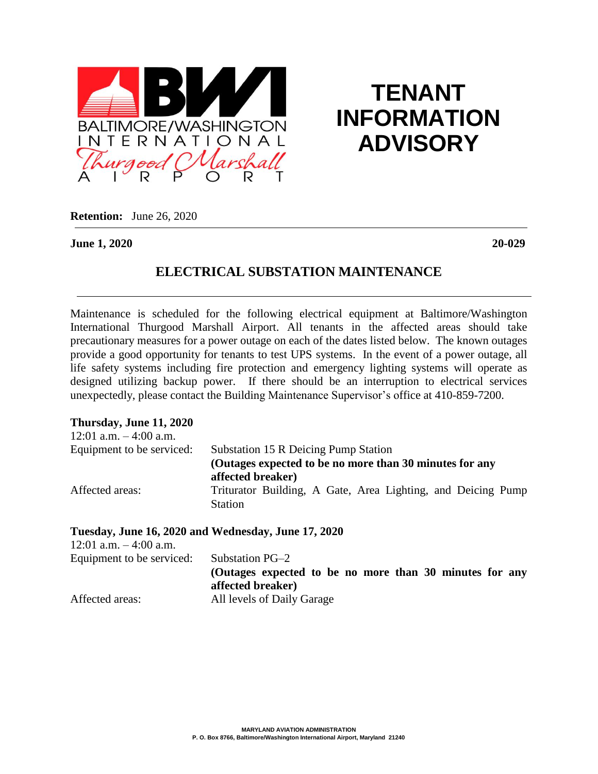

# **TENANT INFORMATION ADVISORY**

**Retention:** June 26, 2020

**June 1, 2020 20-029**

## **ELECTRICAL SUBSTATION MAINTENANCE**

Maintenance is scheduled for the following electrical equipment at Baltimore/Washington International Thurgood Marshall Airport. All tenants in the affected areas should take precautionary measures for a power outage on each of the dates listed below. The known outages provide a good opportunity for tenants to test UPS systems. In the event of a power outage, all life safety systems including fire protection and emergency lighting systems will operate as designed utilizing backup power. If there should be an interruption to electrical services unexpectedly, please contact the Building Maintenance Supervisor's office at 410-859-7200.

#### **Thursday, June 11, 2020**

| 12:01 a.m. $-4:00$ a.m.   |                                                                                |
|---------------------------|--------------------------------------------------------------------------------|
| Equipment to be serviced: | Substation 15 R Deicing Pump Station                                           |
|                           | (Outages expected to be no more than 30 minutes for any<br>affected breaker)   |
| Affected areas:           | Triturator Building, A Gate, Area Lighting, and Deicing Pump<br><b>Station</b> |

#### **Tuesday, June 16, 2020 and Wednesday, June 17, 2020**

| 12:01 a.m. $-4:00$ a.m.   |                                                                              |
|---------------------------|------------------------------------------------------------------------------|
| Equipment to be serviced: | Substation PG-2                                                              |
|                           | (Outages expected to be no more than 30 minutes for any<br>affected breaker) |
| Affected areas:           | All levels of Daily Garage                                                   |